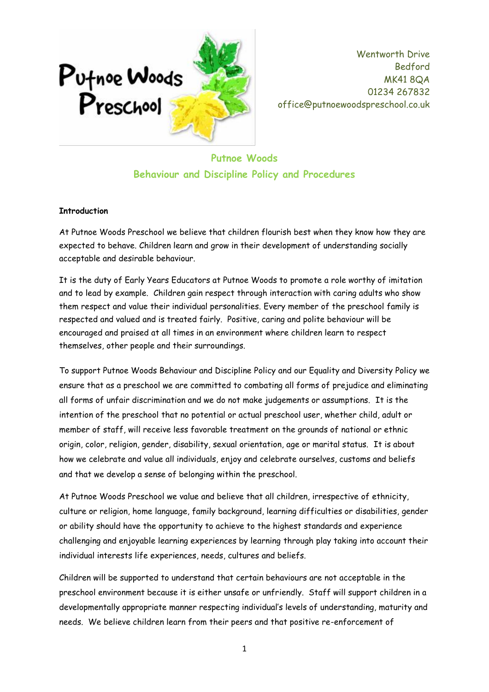

# **Putnoe Woods Behaviour and Discipline Policy and Procedures**

#### **Introduction**

At Putnoe Woods Preschool we believe that children flourish best when they know how they are expected to behave. Children learn and grow in their development of understanding socially acceptable and desirable behaviour.

It is the duty of Early Years Educators at Putnoe Woods to promote a role worthy of imitation and to lead by example. Children gain respect through interaction with caring adults who show them respect and value their individual personalities. Every member of the preschool family is respected and valued and is treated fairly. Positive, caring and polite behaviour will be encouraged and praised at all times in an environment where children learn to respect themselves, other people and their surroundings.

To support Putnoe Woods Behaviour and Discipline Policy and our Equality and Diversity Policy we ensure that as a preschool we are committed to combating all forms of prejudice and eliminating all forms of unfair discrimination and we do not make judgements or assumptions. It is the intention of the preschool that no potential or actual preschool user, whether child, adult or member of staff, will receive less favorable treatment on the grounds of national or ethnic origin, color, religion, gender, disability, sexual orientation, age or marital status. It is about how we celebrate and value all individuals, enjoy and celebrate ourselves, customs and beliefs and that we develop a sense of belonging within the preschool.

At Putnoe Woods Preschool we value and believe that all children, irrespective of ethnicity, culture or religion, home language, family background, learning difficulties or disabilities, gender or ability should have the opportunity to achieve to the highest standards and experience challenging and enjoyable learning experiences by learning through play taking into account their individual interests life experiences, needs, cultures and beliefs.

Children will be supported to understand that certain behaviours are not acceptable in the preschool environment because it is either unsafe or unfriendly. Staff will support children in a developmentally appropriate manner respecting individual's levels of understanding, maturity and needs. We believe children learn from their peers and that positive re-enforcement of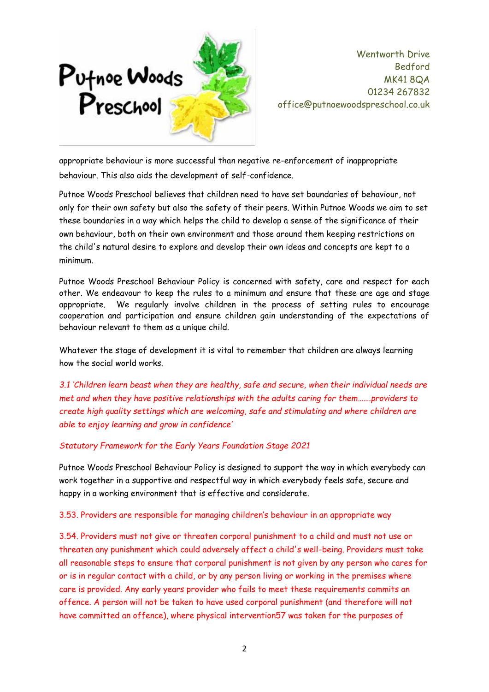

appropriate behaviour is more successful than negative re-enforcement of inappropriate behaviour. This also aids the development of self-confidence.

Putnoe Woods Preschool believes that children need to have set boundaries of behaviour, not only for their own safety but also the safety of their peers. Within Putnoe Woods we aim to set these boundaries in a way which helps the child to develop a sense of the significance of their own behaviour, both on their own environment and those around them keeping restrictions on the child's natural desire to explore and develop their own ideas and concepts are kept to a minimum.

Putnoe Woods Preschool Behaviour Policy is concerned with safety, care and respect for each other. We endeavour to keep the rules to a minimum and ensure that these are age and stage appropriate. We regularly involve children in the process of setting rules to encourage cooperation and participation and ensure children gain understanding of the expectations of behaviour relevant to them as a unique child.

Whatever the stage of development it is vital to remember that children are always learning how the social world works.

*3.1 'Children learn beast when they are healthy, safe and secure, when their individual needs are met and when they have positive relationships with the adults caring for them…….providers to create high quality settings which are welcoming, safe and stimulating and where children are able to enjoy learning and grow in confidence'*

## *Statutory Framework for the Early Years Foundation Stage 2021*

Putnoe Woods Preschool Behaviour Policy is designed to support the way in which everybody can work together in a supportive and respectful way in which everybody feels safe, secure and happy in a working environment that is effective and considerate.

#### 3.53. Providers are responsible for managing children's behaviour in an appropriate way

3.54. Providers must not give or threaten corporal punishment to a child and must not use or threaten any punishment which could adversely affect a child's well-being. Providers must take all reasonable steps to ensure that corporal punishment is not given by any person who cares for or is in regular contact with a child, or by any person living or working in the premises where care is provided. Any early years provider who fails to meet these requirements commits an offence. A person will not be taken to have used corporal punishment (and therefore will not have committed an offence), where physical intervention57 was taken for the purposes of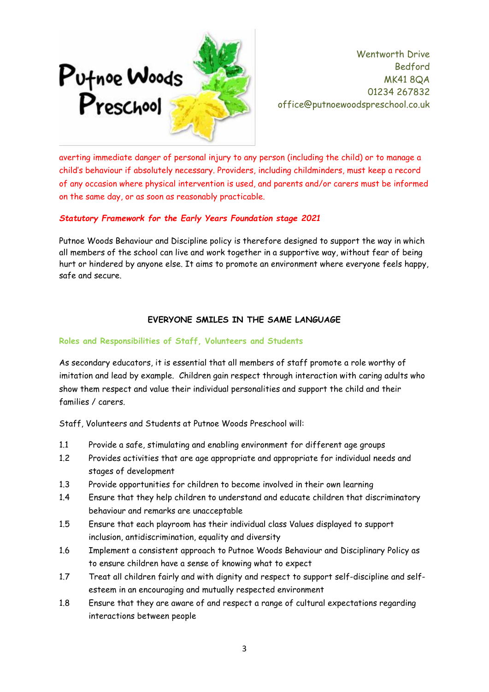

averting immediate danger of personal injury to any person (including the child) or to manage a child's behaviour if absolutely necessary. Providers, including childminders, must keep a record of any occasion where physical intervention is used, and parents and/or carers must be informed on the same day, or as soon as reasonably practicable.

## *Statutory Framework for the Early Years Foundation stage 2021*

Putnoe Woods Behaviour and Discipline policy is therefore designed to support the way in which all members of the school can live and work together in a supportive way, without fear of being hurt or hindered by anyone else. It aims to promote an environment where everyone feels happy, safe and secure.

## **EVERYONE SMILES IN THE SAME LANGUAGE**

## **Roles and Responsibilities of Staff, Volunteers and Students**

As secondary educators, it is essential that all members of staff promote a role worthy of imitation and lead by example. Children gain respect through interaction with caring adults who show them respect and value their individual personalities and support the child and their families / carers.

Staff, Volunteers and Students at Putnoe Woods Preschool will:

- 1.1 Provide a safe, stimulating and enabling environment for different age groups
- 1.2 Provides activities that are age appropriate and appropriate for individual needs and stages of development
- 1.3 Provide opportunities for children to become involved in their own learning
- 1.4 Ensure that they help children to understand and educate children that discriminatory behaviour and remarks are unacceptable
- 1.5 Ensure that each playroom has their individual class Values displayed to support inclusion, antidiscrimination, equality and diversity
- 1.6 Implement a consistent approach to Putnoe Woods Behaviour and Disciplinary Policy as to ensure children have a sense of knowing what to expect
- 1.7 Treat all children fairly and with dignity and respect to support self-discipline and selfesteem in an encouraging and mutually respected environment
- 1.8 Ensure that they are aware of and respect a range of cultural expectations regarding interactions between people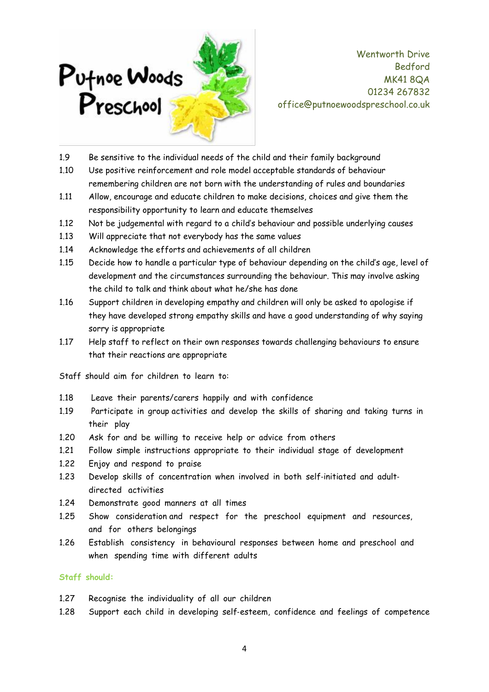

- 1.9 Be sensitive to the individual needs of the child and their family background
- 1.10 Use positive reinforcement and role model acceptable standards of behaviour remembering children are not born with the understanding of rules and boundaries
- 1.11 Allow, encourage and educate children to make decisions, choices and give them the responsibility opportunity to learn and educate themselves
- 1.12 Not be judgemental with regard to a child's behaviour and possible underlying causes
- 1.13 Will appreciate that not everybody has the same values
- 1.14 Acknowledge the efforts and achievements of all children
- 1.15 Decide how to handle a particular type of behaviour depending on the child's age, level of development and the circumstances surrounding the behaviour. This may involve asking the child to talk and think about what he/she has done
- 1.16 Support children in developing empathy and children will only be asked to apologise if they have developed strong empathy skills and have a good understanding of why saying sorry is appropriate
- 1.17 Help staff to reflect on their own responses towards challenging behaviours to ensure that their reactions are appropriate

Staff should aim for children to learn to:

- 1.18 Leave their parents/carers happily and with confidence
- 1.19 Participate in group activities and develop the skills of sharing and taking turns in their play
- 1.20 Ask for and be willing to receive help or advice from others
- 1.21 Follow simple instructions appropriate to their individual stage of development
- 1.22 Enjoy and respond to praise
- 1.23 Develop skills of concentration when involved in both self-initiated and adultdirected activities
- 1.24 Demonstrate good manners at all times
- 1.25 Show consideration and respect for the preschool equipment and resources, and for others belongings
- 1.26 Establish consistency in behavioural responses between home and preschool and when spending time with different adults

#### **Staff should:**

- 1.27 Recognise the individuality of all our children
- 1.28 Support each child in developing self‐esteem, confidence and feelings of competence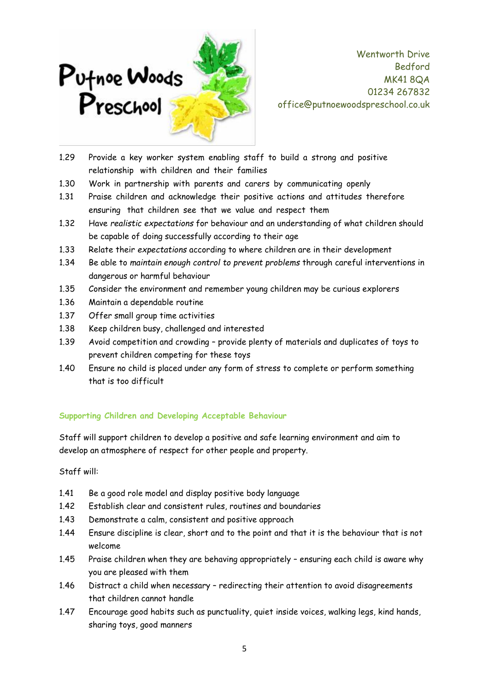

- 1.29 Provide a key worker system enabling staff to build a strong and positive relationship with children and their families
- 1.30 Work in partnership with parents and carers by communicating openly
- 1.31 Praise children and acknowledge their positive actions and attitudes therefore ensuring that children see that we value and respect them
- 1.32 Have *realistic expectations* for behaviour and an understanding of what children should be capable of doing successfully according to their age
- 1.33 Relate their *expectations* according to where children are in their development
- 1.34 Be able to *maintain enough control to prevent problems* through careful interventions in dangerous or harmful behaviour
- 1.35 Consider the environment and remember young children may be curious explorers
- 1.36 Maintain a dependable routine
- 1.37 Offer small group time activities
- 1.38 Keep children busy, challenged and interested
- 1.39 Avoid competition and crowding provide plenty of materials and duplicates of toys to prevent children competing for these toys
- 1.40 Ensure no child is placed under any form of stress to complete or perform something that is too difficult

## **Supporting Children and Developing Acceptable Behaviour**

Staff will support children to develop a positive and safe learning environment and aim to develop an atmosphere of respect for other people and property.

Staff will:

- 1.41 Be a good role model and display positive body language
- 1.42 Establish clear and consistent rules, routines and boundaries
- 1.43 Demonstrate a calm, consistent and positive approach
- 1.44 Ensure discipline is clear, short and to the point and that it is the behaviour that is not welcome
- 1.45 Praise children when they are behaving appropriately ensuring each child is aware why you are pleased with them
- 1.46 Distract a child when necessary redirecting their attention to avoid disagreements that children cannot handle
- 1.47 Encourage good habits such as punctuality, quiet inside voices, walking legs, kind hands, sharing toys, good manners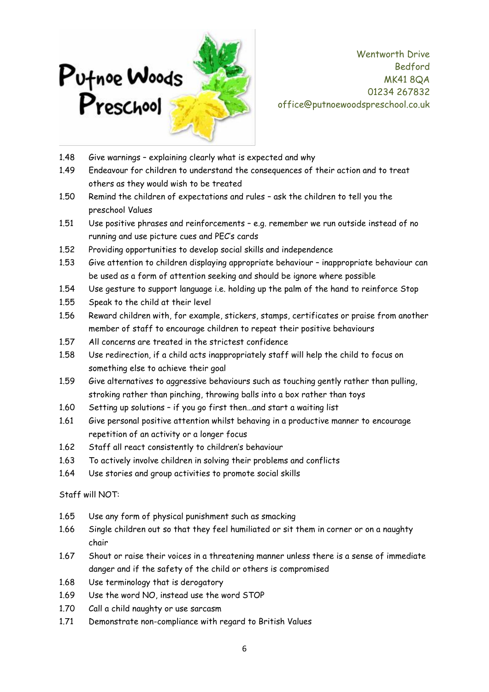

- 1.48 Give warnings explaining clearly what is expected and why
- 1.49 Endeavour for children to understand the consequences of their action and to treat others as they would wish to be treated
- 1.50 Remind the children of expectations and rules ask the children to tell you the preschool Values
- 1.51 Use positive phrases and reinforcements e.g. remember we run outside instead of no running and use picture cues and PEC's cards
- 1.52 Providing opportunities to develop social skills and independence
- 1.53 Give attention to children displaying appropriate behaviour inappropriate behaviour can be used as a form of attention seeking and should be ignore where possible
- 1.54 Use gesture to support language i.e. holding up the palm of the hand to reinforce Stop
- 1.55 Speak to the child at their level
- 1.56 Reward children with, for example, stickers, stamps, certificates or praise from another member of staff to encourage children to repeat their positive behaviours
- 1.57 All concerns are treated in the strictest confidence
- 1.58 Use redirection, if a child acts inappropriately staff will help the child to focus on something else to achieve their goal
- 1.59 Give alternatives to aggressive behaviours such as touching gently rather than pulling, stroking rather than pinching, throwing balls into a box rather than toys
- 1.60 Setting up solutions if you go first then…and start a waiting list
- 1.61 Give personal positive attention whilst behaving in a productive manner to encourage repetition of an activity or a longer focus
- 1.62 Staff all react consistently to children's behaviour
- 1.63 To actively involve children in solving their problems and conflicts
- 1.64 Use stories and group activities to promote social skills

Staff will NOT:

- 1.65 Use any form of physical punishment such as smacking
- 1.66 Single children out so that they feel humiliated or sit them in corner or on a naughty chair
- 1.67 Shout or raise their voices in a threatening manner unless there is a sense of immediate danger and if the safety of the child or others is compromised
- 1.68 Use terminology that is derogatory
- 1.69 Use the word NO, instead use the word STOP
- 1.70 Call a child naughty or use sarcasm
- 1.71 Demonstrate non-compliance with regard to British Values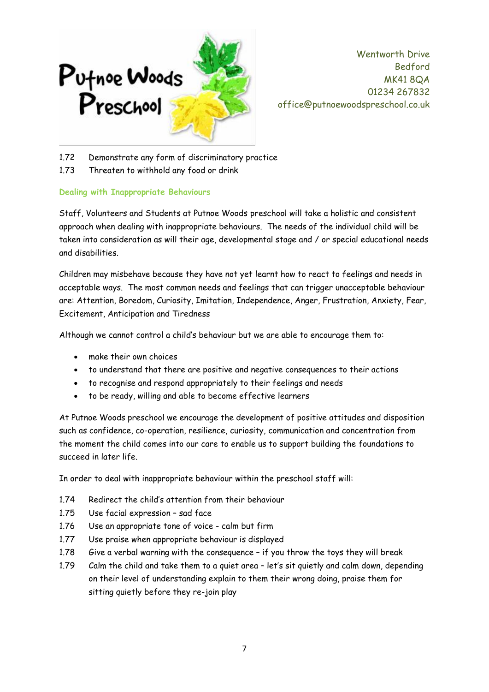

- 1.72 Demonstrate any form of discriminatory practice
- 1.73 Threaten to withhold any food or drink

## **Dealing with Inappropriate Behaviours**

Staff, Volunteers and Students at Putnoe Woods preschool will take a holistic and consistent approach when dealing with inappropriate behaviours. The needs of the individual child will be taken into consideration as will their age, developmental stage and / or special educational needs and disabilities.

Children may misbehave because they have not yet learnt how to react to feelings and needs in acceptable ways. The most common needs and feelings that can trigger unacceptable behaviour are: Attention, Boredom, Curiosity, Imitation, Independence, Anger, Frustration, Anxiety, Fear, Excitement, Anticipation and Tiredness

Although we cannot control a child's behaviour but we are able to encourage them to:

- make their own choices
- to understand that there are positive and negative consequences to their actions
- to recognise and respond appropriately to their feelings and needs
- to be ready, willing and able to become effective learners

At Putnoe Woods preschool we encourage the development of positive attitudes and disposition such as confidence, co-operation, resilience, curiosity, communication and concentration from the moment the child comes into our care to enable us to support building the foundations to succeed in later life.

In order to deal with inappropriate behaviour within the preschool staff will:

- 1.74 Redirect the child's attention from their behaviour
- 1.75 Use facial expression sad face
- 1.76 Use an appropriate tone of voice calm but firm
- 1.77 Use praise when appropriate behaviour is displayed
- 1.78 Give a verbal warning with the consequence if you throw the toys they will break
- 1.79 Calm the child and take them to a quiet area let's sit quietly and calm down, depending on their level of understanding explain to them their wrong doing, praise them for sitting quietly before they re-join play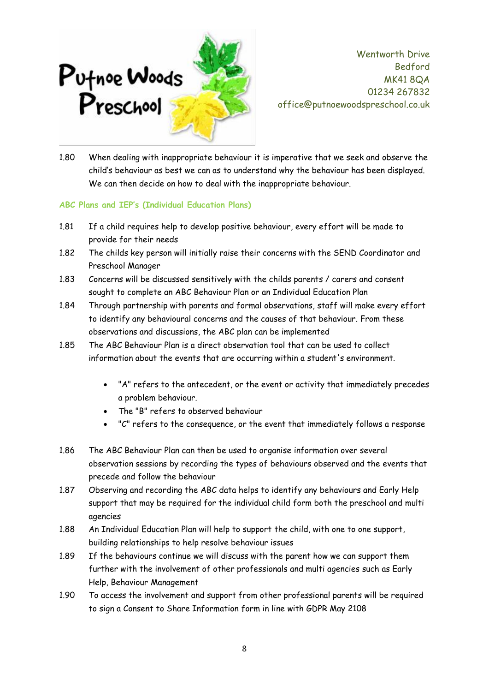

1.80 When dealing with inappropriate behaviour it is imperative that we seek and observe the child's behaviour as best we can as to understand why the behaviour has been displayed. We can then decide on how to deal with the inappropriate behaviour.

#### **ABC Plans and IEP's (Individual Education Plans)**

- 1.81 If a child requires help to develop positive behaviour, every effort will be made to provide for their needs
- 1.82 The childs key person will initially raise their concerns with the SEND Coordinator and Preschool Manager
- 1.83 Concerns will be discussed sensitively with the childs parents / carers and consent sought to complete an ABC Behaviour Plan or an Individual Education Plan
- 1.84 Through partnership with parents and formal observations, staff will make every effort to identify any behavioural concerns and the causes of that behaviour. From these observations and discussions, the ABC plan can be implemented
- 1.85 The ABC Behaviour Plan is a direct observation tool that can be used to collect information about the events that are occurring within a student's environment.
	- "A" refers to the antecedent, or the event or activity that immediately precedes a problem behaviour.
	- The "B" refers to observed behaviour
	- "C" refers to the consequence, or the event that immediately follows a response
- 1.86 The ABC Behaviour Plan can then be used to organise information over several observation sessions by recording the types of behaviours observed and the events that precede and follow the behaviour
- 1.87 Observing and recording the ABC data helps to identify any behaviours and Early Help support that may be required for the individual child form both the preschool and multi agencies
- 1.88 An Individual Education Plan will help to support the child, with one to one support, building relationships to help resolve behaviour issues
- 1.89 If the behaviours continue we will discuss with the parent how we can support them further with the involvement of other professionals and multi agencies such as Early Help, Behaviour Management
- 1.90 To access the involvement and support from other professional parents will be required to sign a Consent to Share Information form in line with GDPR May 2108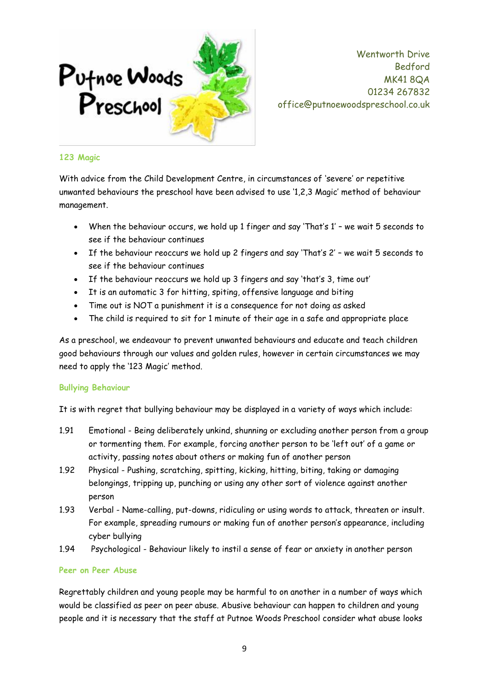

#### **123 Magic**

With advice from the Child Development Centre, in circumstances of 'severe' or repetitive unwanted behaviours the preschool have been advised to use '1,2,3 Magic' method of behaviour management.

- When the behaviour occurs, we hold up 1 finger and say 'That's 1' we wait 5 seconds to see if the behaviour continues
- If the behaviour reoccurs we hold up 2 fingers and say 'That's 2' we wait 5 seconds to see if the behaviour continues
- If the behaviour reoccurs we hold up 3 fingers and say 'that's 3, time out'
- It is an automatic 3 for hitting, spiting, offensive language and biting
- Time out is NOT a punishment it is a consequence for not doing as asked
- The child is required to sit for 1 minute of their age in a safe and appropriate place

As a preschool, we endeavour to prevent unwanted behaviours and educate and teach children good behaviours through our values and golden rules, however in certain circumstances we may need to apply the '123 Magic' method.

## **Bullying Behaviour**

It is with regret that bullying behaviour may be displayed in a variety of ways which include:

- 1.91 Emotional Being deliberately unkind, shunning or excluding another person from a group or tormenting them. For example, forcing another person to be 'left out' of a game or activity, passing notes about others or making fun of another person
- 1.92 Physical Pushing, scratching, spitting, kicking, hitting, biting, taking or damaging belongings, tripping up, punching or using any other sort of violence against another person
- 1.93 Verbal Name-calling, put-downs, ridiculing or using words to attack, threaten or insult. For example, spreading rumours or making fun of another person's appearance, including cyber bullying
- 1.94 Psychological Behaviour likely to instil a sense of fear or anxiety in another person

#### **Peer on Peer Abuse**

Regrettably children and young people may be harmful to on another in a number of ways which would be classified as peer on peer abuse. Abusive behaviour can happen to children and young people and it is necessary that the staff at Putnoe Woods Preschool consider what abuse looks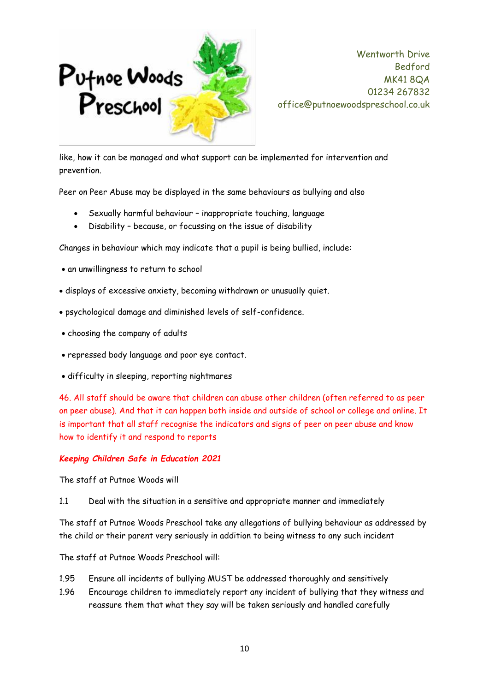

like, how it can be managed and what support can be implemented for intervention and prevention.

Peer on Peer Abuse may be displayed in the same behaviours as bullying and also

- Sexually harmful behaviour inappropriate touching, language
- Disability because, or focussing on the issue of disability

Changes in behaviour which may indicate that a pupil is being bullied, include:

- an unwillingness to return to school
- displays of excessive anxiety, becoming withdrawn or unusually quiet.
- psychological damage and diminished levels of self-confidence.
- choosing the company of adults
- repressed body language and poor eye contact.
- difficulty in sleeping, reporting nightmares

46. All staff should be aware that children can abuse other children (often referred to as peer on peer abuse). And that it can happen both inside and outside of school or college and online. It is important that all staff recognise the indicators and signs of peer on peer abuse and know how to identify it and respond to reports

## *Keeping Children Safe in Education 2021*

The staff at Putnoe Woods will

1.1 Deal with the situation in a sensitive and appropriate manner and immediately

The staff at Putnoe Woods Preschool take any allegations of bullying behaviour as addressed by the child or their parent very seriously in addition to being witness to any such incident

The staff at Putnoe Woods Preschool will:

- 1.95 Ensure all incidents of bullying MUST be addressed thoroughly and sensitively
- 1.96 Encourage children to immediately report any incident of bullying that they witness and reassure them that what they say will be taken seriously and handled carefully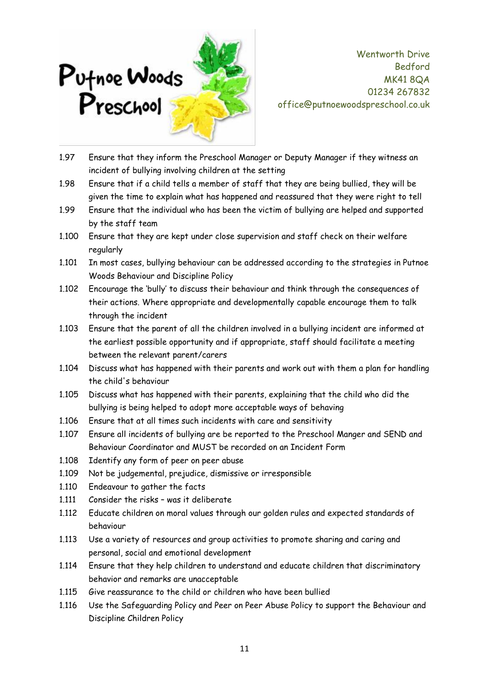

- 1.97 Ensure that they inform the Preschool Manager or Deputy Manager if they witness an incident of bullying involving children at the setting
- 1.98 Ensure that if a child tells a member of staff that they are being bullied, they will be given the time to explain what has happened and reassured that they were right to tell
- 1.99 Ensure that the individual who has been the victim of bullying are helped and supported by the staff team
- 1.100 Ensure that they are kept under close supervision and staff check on their welfare regularly
- 1.101 In most cases, bullying behaviour can be addressed according to the strategies in Putnoe Woods Behaviour and Discipline Policy
- 1.102 Encourage the 'bully' to discuss their behaviour and think through the consequences of their actions. Where appropriate and developmentally capable encourage them to talk through the incident
- 1.103 Ensure that the parent of all the children involved in a bullying incident are informed at the earliest possible opportunity and if appropriate, staff should facilitate a meeting between the relevant parent/carers
- 1.104 Discuss what has happened with their parents and work out with them a plan for handling the child's behaviour
- 1.105 Discuss what has happened with their parents, explaining that the child who did the bullying is being helped to adopt more acceptable ways of behaving
- 1.106 Ensure that at all times such incidents with care and sensitivity
- 1.107 Ensure all incidents of bullying are be reported to the Preschool Manger and SEND and Behaviour Coordinator and MUST be recorded on an Incident Form
- 1.108 Identify any form of peer on peer abuse
- 1.109 Not be judgemental, prejudice, dismissive or irresponsible
- 1.110 Endeavour to gather the facts
- 1.111 Consider the risks was it deliberate
- 1.112 Educate children on moral values through our golden rules and expected standards of behaviour
- 1.113 Use a variety of resources and group activities to promote sharing and caring and personal, social and emotional development
- 1.114 Ensure that they help children to understand and educate children that discriminatory behavior and remarks are unacceptable
- 1.115 Give reassurance to the child or children who have been bullied
- 1.116 Use the Safeguarding Policy and Peer on Peer Abuse Policy to support the Behaviour and Discipline Children Policy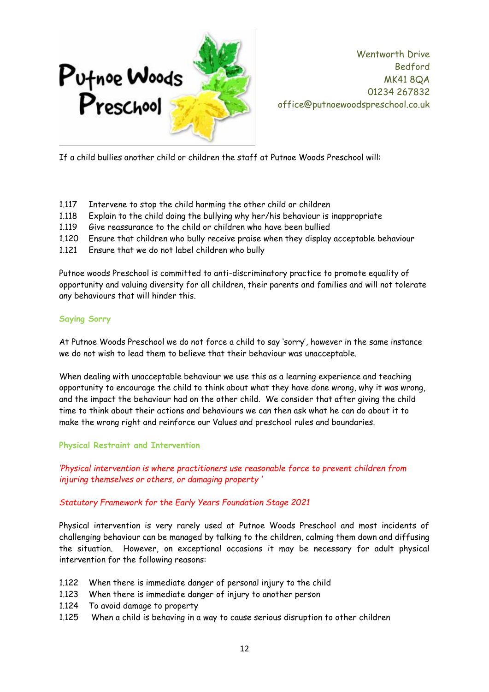

If a child bullies another child or children the staff at Putnoe Woods Preschool will:

- 1.117 Intervene to stop the child harming the other child or children
- 1.118 Explain to the child doing the bullying why her/his behaviour is inappropriate
- 1.119 Give reassurance to the child or children who have been bullied
- 1.120 Ensure that children who bully receive praise when they display acceptable behaviour
- 1.121 Ensure that we do not label children who bully

Putnoe woods Preschool is committed to anti-discriminatory practice to promote equality of opportunity and valuing diversity for all children, their parents and families and will not tolerate any behaviours that will hinder this.

## **Saying Sorry**

At Putnoe Woods Preschool we do not force a child to say 'sorry', however in the same instance we do not wish to lead them to believe that their behaviour was unacceptable.

When dealing with unacceptable behaviour we use this as a learning experience and teaching opportunity to encourage the child to think about what they have done wrong, why it was wrong, and the impact the behaviour had on the other child. We consider that after giving the child time to think about their actions and behaviours we can then ask what he can do about it to make the wrong right and reinforce our Values and preschool rules and boundaries.

## **Physical Restraint and Intervention**

*'Physical intervention is where practitioners use reasonable force to prevent children from injuring themselves or others, or damaging property '*

## *Statutory Framework for the Early Years Foundation Stage 2021*

Physical intervention is very rarely used at Putnoe Woods Preschool and most incidents of challenging behaviour can be managed by talking to the children, calming them down and diffusing the situation. However, on exceptional occasions it may be necessary for adult physical intervention for the following reasons:

- 1.122 When there is immediate danger of personal injury to the child
- 1.123 When there is immediate danger of injury to another person
- 1.124 To avoid damage to property
- 1.125 When a child is behaving in a way to cause serious disruption to other children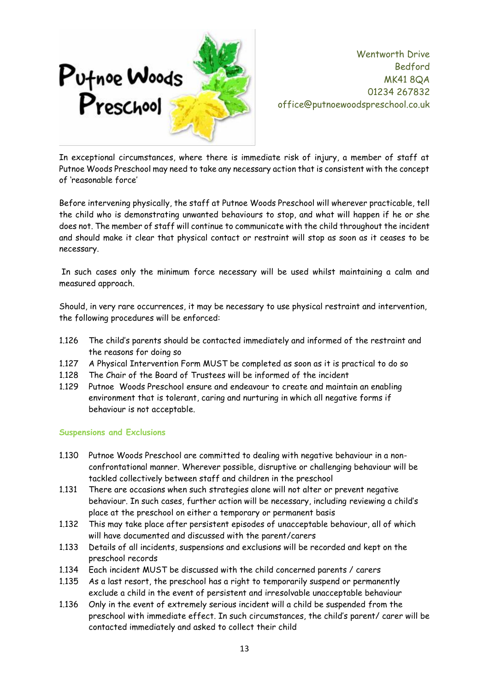

In exceptional circumstances, where there is immediate risk of injury, a member of staff at Putnoe Woods Preschool may need to take any necessary action that is consistent with the concept of 'reasonable force'

Before intervening physically, the staff at Putnoe Woods Preschool will wherever practicable, tell the child who is demonstrating unwanted behaviours to stop, and what will happen if he or she does not. The member of staff will continue to communicate with the child throughout the incident and should make it clear that physical contact or restraint will stop as soon as it ceases to be necessary.

In such cases only the minimum force necessary will be used whilst maintaining a calm and measured approach.

Should, in very rare occurrences, it may be necessary to use physical restraint and intervention, the following procedures will be enforced:

- 1.126 The child's parents should be contacted immediately and informed of the restraint and the reasons for doing so
- 1.127 A Physical Intervention Form MUST be completed as soon as it is practical to do so
- 1.128 The Chair of the Board of Trustees will be informed of the incident
- 1.129 Putnoe Woods Preschool ensure and endeavour to create and maintain an enabling environment that is tolerant, caring and nurturing in which all negative forms if behaviour is not acceptable.

#### **Suspensions and Exclusions**

- 1.130 Putnoe Woods Preschool are committed to dealing with negative behaviour in a nonconfrontational manner. Wherever possible, disruptive or challenging behaviour will be tackled collectively between staff and children in the preschool
- 1.131 There are occasions when such strategies alone will not alter or prevent negative behaviour. In such cases, further action will be necessary, including reviewing a child's place at the preschool on either a temporary or permanent basis
- 1.132 This may take place after persistent episodes of unacceptable behaviour, all of which will have documented and discussed with the parent/carers
- 1.133 Details of all incidents, suspensions and exclusions will be recorded and kept on the preschool records
- 1.134 Each incident MUST be discussed with the child concerned parents / carers
- 1.135 As a last resort, the preschool has a right to temporarily suspend or permanently exclude a child in the event of persistent and irresolvable unacceptable behaviour
- 1.136 Only in the event of extremely serious incident will a child be suspended from the preschool with immediate effect. In such circumstances, the child's parent/ carer will be contacted immediately and asked to collect their child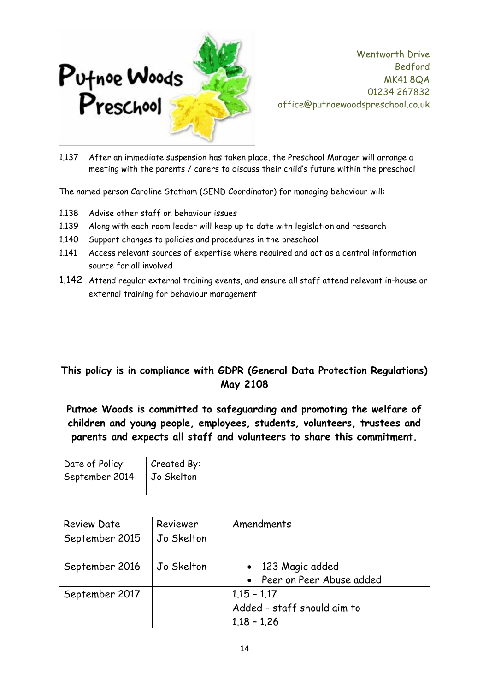

1.137 After an immediate suspension has taken place, the Preschool Manager will arrange a meeting with the parents / carers to discuss their child's future within the preschool

The named person Caroline Statham (SEND Coordinator) for managing behaviour will:

- 1.138 Advise other staff on behaviour issues
- 1.139 Along with each room leader will keep up to date with legislation and research
- 1.140 Support changes to policies and procedures in the preschool
- 1.141 Access relevant sources of expertise where required and act as a central information source for all involved
- 1.142 Attend regular external training events, and ensure all staff attend relevant in-house or external training for behaviour management

## **This policy is in compliance with GDPR (General Data Protection Regulations) May 2108**

**Putnoe Woods is committed to safeguarding and promoting the welfare of children and young people, employees, students, volunteers, trustees and parents and expects all staff and volunteers to share this commitment.**

| Date of Policy:             | Created By: |  |
|-----------------------------|-------------|--|
| September 2014   Jo Skelton |             |  |
|                             |             |  |

| <b>Review Date</b> | Reviewer   | Amendments                                                    |  |
|--------------------|------------|---------------------------------------------------------------|--|
| September 2015     | Jo Skelton |                                                               |  |
| September 2016     | Jo Skelton | • 123 Magic added<br>• Peer on Peer Abuse added               |  |
| September 2017     |            | $1.15 - 1.17$<br>Added - staff should aim to<br>$1.18 - 1.26$ |  |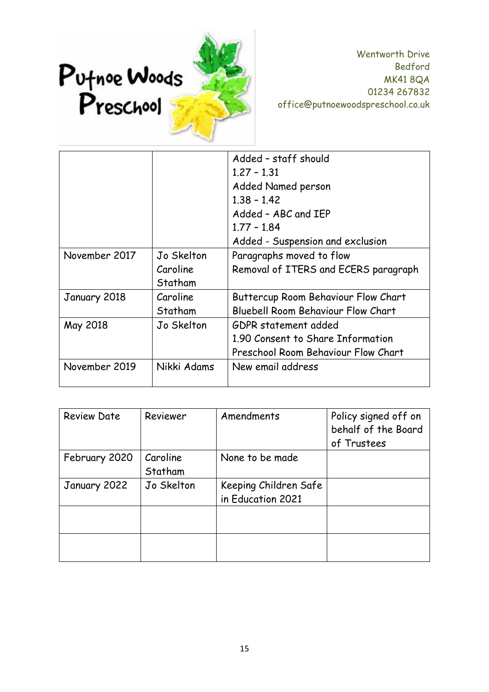

|               |                                   | Added - staff should<br>$1,27 - 1,31$<br>Added Named person<br>$1.38 - 1.42$<br>Added - ABC and IEP |  |
|---------------|-----------------------------------|-----------------------------------------------------------------------------------------------------|--|
|               |                                   | $1.77 - 1.84$<br>Added - Suspension and exclusion                                                   |  |
| November 2017 | Jo Skelton<br>Caroline<br>Statham | Paragraphs moved to flow<br>Removal of ITERS and ECERS paragraph                                    |  |
| January 2018  | Caroline<br>Statham               | Buttercup Room Behaviour Flow Chart<br><b>Bluebell Room Behaviour Flow Chart</b>                    |  |
| May 2018      | Jo Skelton                        | GDPR statement added<br>1.90 Consent to Share Information<br>Preschool Room Behaviour Flow Chart    |  |
| November 2019 | Nikki Adams                       | New email address                                                                                   |  |

| <b>Review Date</b> | Reviewer   | Amendments            | Policy signed off on<br>behalf of the Board<br>of Trustees |
|--------------------|------------|-----------------------|------------------------------------------------------------|
| February 2020      | Caroline   | None to be made       |                                                            |
|                    | Statham    |                       |                                                            |
| January 2022       | Jo Skelton | Keeping Children Safe |                                                            |
|                    |            | in Education 2021     |                                                            |
|                    |            |                       |                                                            |
|                    |            |                       |                                                            |
|                    |            |                       |                                                            |
|                    |            |                       |                                                            |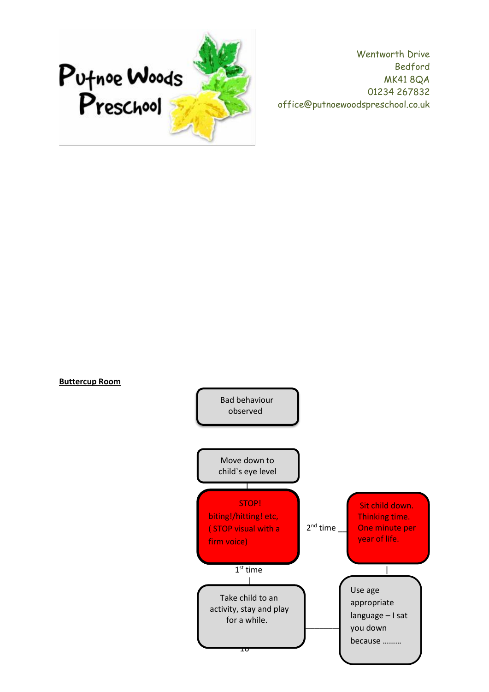

**Buttercup Room**

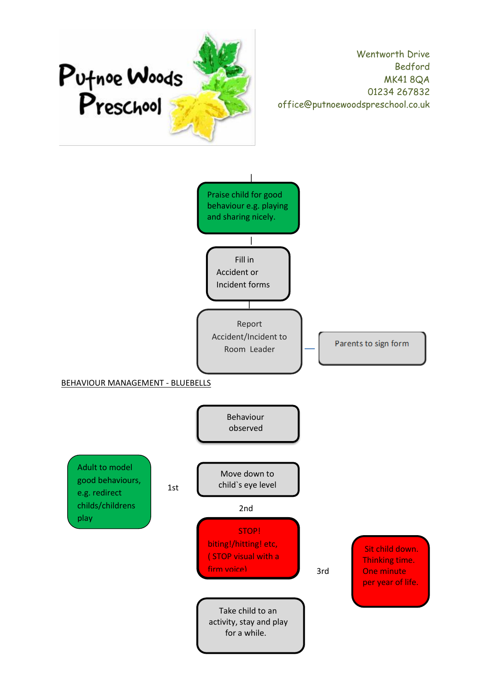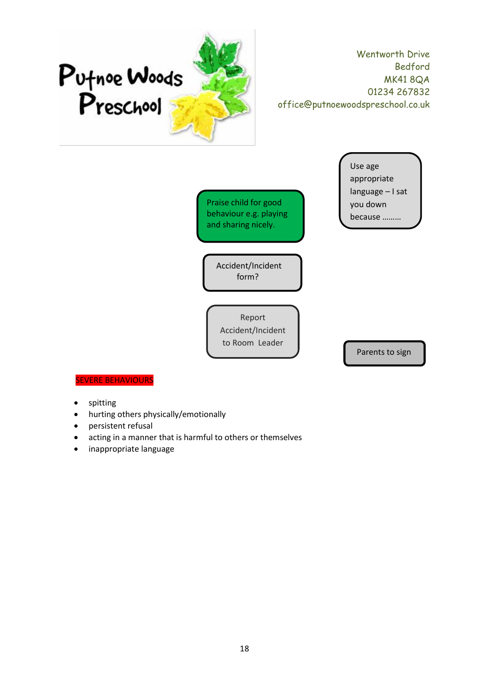![](_page_17_Picture_0.jpeg)

Praise child for good behaviour e.g. playing and sharing nicely.

Use age appropriate language – I sat you down because ………

 Accident/Incident form?

Report Accident/Incident to Room Leader

Parents to sign

#### **EVERE BEHAVIOURS**

- spitting
- hurting others physically/emotionally
- persistent refusal
- acting in a manner that is harmful to others or themselves
- inappropriate language